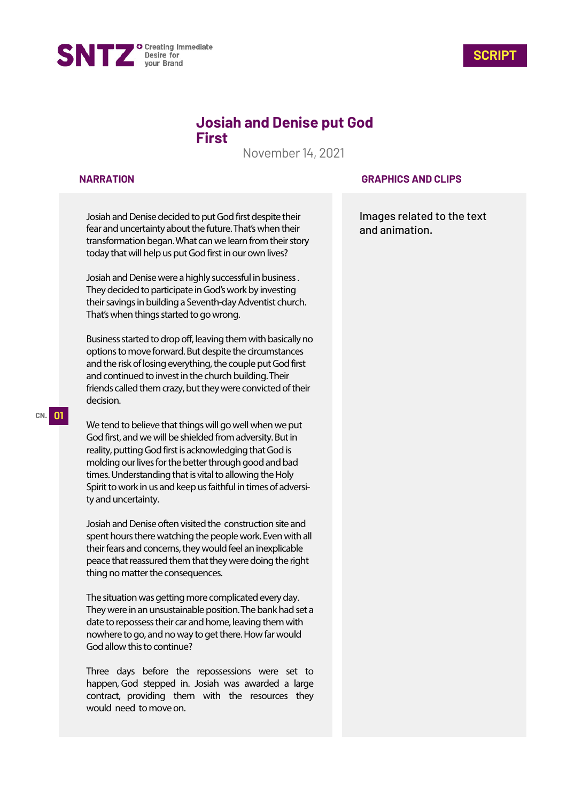



# **Josiah and Denise put God First**

November 14, 2021

### **NARRATION**

Josiah and Denise decided to put God first despite their fear and uncertainty about the future. That's when their transformation began.What canwe learn from their story today that will help us put God first in our own lives?

Josiah and Denise were a highly successful in business . They decided to participate in God's work by investing their savings in building a Seventh-day Adventist church. That's when things started to go wrong.

Business started to drop off, leaving them with basically no options to move forward. But despite the circumstances and the risk of losing everything, the couple put God first and continued to invest in the church building. Their friends called them crazy, but they were convicted of their decision.

We tend to believe that things will go well when we put God first, and we will be shielded from adversity. But in reality, putting God first is acknowledging that God is molding our lives for the better through good and bad times. Understanding that is vital to allowing the Holy Spirit to work in us and keep us faithful in times of adversity and uncertainty.

Josiah and Denise often visited the construction site and spent hours there watching the people work. Even with all their fears and concerns, they would feel an inexplicable peace that reassured them that they were doing the right thing no matter the consequences.

The situation was getting more complicated every day. They were in an unsustainable position.The bank had set a date to repossess their car and home, leaving them with nowhere to go, and no way to get there. How far would God allow this to continue?

Three days before the repossessions were set to happen, God stepped in. Josiah was awarded a large contract, providing them with the resources they would need to move on.

### **GRAPHICS AND CLIPS**

Images related to the text and animation.